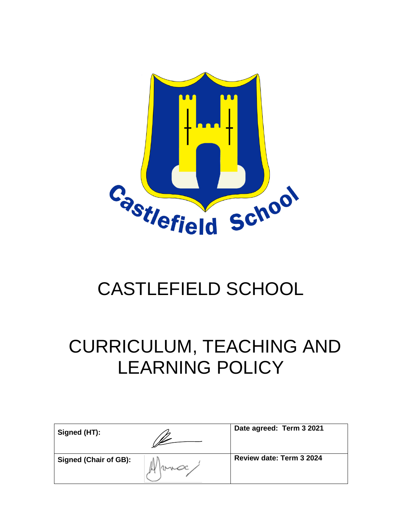

# CASTLEFIELD SCHOOL

# CURRICULUM, TEACHING AND LEARNING POLICY

| Signed (HT):                 | Date agreed: Term 3 2021 |
|------------------------------|--------------------------|
| <b>Signed (Chair of GB):</b> | Review date: Term 3 2024 |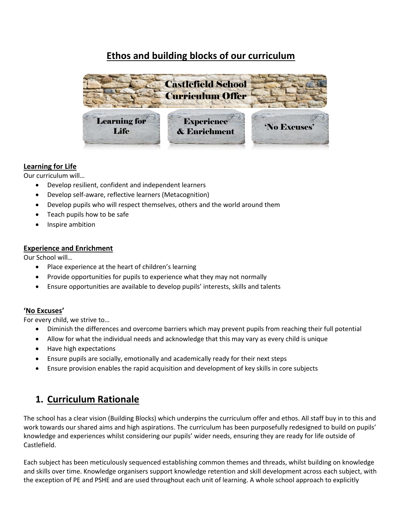# **Ethos and building blocks of our curriculum**



#### **Learning for Life**

Our curriculum will…

- Develop resilient, confident and independent learners
- Develop self-aware, reflective learners (Metacognition)
- Develop pupils who will respect themselves, others and the world around them
- Teach pupils how to be safe
- Inspire ambition

#### **Experience and Enrichment**

Our School will…

- Place experience at the heart of children's learning
- Provide opportunities for pupils to experience what they may not normally
- Ensure opportunities are available to develop pupils' interests, skills and talents

#### **'No Excuses'**

For every child, we strive to…

- Diminish the differences and overcome barriers which may prevent pupils from reaching their full potential
- Allow for what the individual needs and acknowledge that this may vary as every child is unique
- Have high expectations
- Ensure pupils are socially, emotionally and academically ready for their next steps
- Ensure provision enables the rapid acquisition and development of key skills in core subjects

#### **1. Curriculum Rationale**

The school has a clear vision (Building Blocks) which underpins the curriculum offer and ethos. All staff buy in to this and work towards our shared aims and high aspirations. The curriculum has been purposefully redesigned to build on pupils' knowledge and experiences whilst considering our pupils' wider needs, ensuring they are ready for life outside of Castlefield.

Each subject has been meticulously sequenced establishing common themes and threads, whilst building on knowledge and skills over time. Knowledge organisers support knowledge retention and skill development across each subject, with the exception of PE and PSHE and are used throughout each unit of learning. A whole school approach to explicitly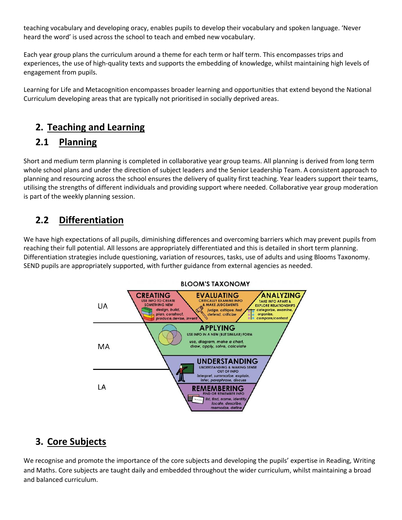teaching vocabulary and developing oracy, enables pupils to develop their vocabulary and spoken language. 'Never heard the word' is used across the school to teach and embed new vocabulary.

Each year group plans the curriculum around a theme for each term or half term. This encompasses trips and experiences, the use of high-quality texts and supports the embedding of knowledge, whilst maintaining high levels of engagement from pupils.

Learning for Life and Metacognition encompasses broader learning and opportunities that extend beyond the National Curriculum developing areas that are typically not prioritised in socially deprived areas.

## **2. Teaching and Learning**

## **2.1 Planning**

Short and medium term planning is completed in collaborative year group teams. All planning is derived from long term whole school plans and under the direction of subject leaders and the Senior Leadership Team. A consistent approach to planning and resourcing across the school ensures the delivery of quality first teaching. Year leaders support their teams, utilising the strengths of different individuals and providing support where needed. Collaborative year group moderation is part of the weekly planning session.

# **2.2 Differentiation**

We have high expectations of all pupils, diminishing differences and overcoming barriers which may prevent pupils from reaching their full potential. All lessons are appropriately differentiated and this is detailed in short term planning. Differentiation strategies include questioning, variation of resources, tasks, use of adults and using Blooms Taxonomy. SEND pupils are appropriately supported, with further guidance from external agencies as needed.



# **3. Core Subjects**

We recognise and promote the importance of the core subjects and developing the pupils' expertise in Reading, Writing and Maths. Core subjects are taught daily and embedded throughout the wider curriculum, whilst maintaining a broad and balanced curriculum.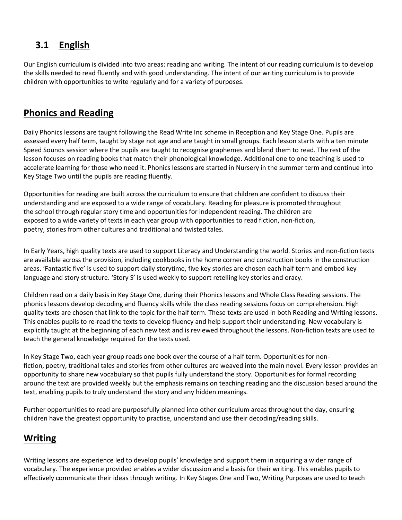# **3.1 English**

Our English curriculum is divided into two areas: reading and writing. The intent of our reading curriculum is to develop the skills needed to read fluently and with good understanding. The intent of our writing curriculum is to provide children with opportunities to write regularly and for a variety of purposes.

### **Phonics and Reading**

Daily Phonics lessons are taught following the Read Write Inc scheme in Reception and Key Stage One. Pupils are assessed every half term, taught by stage not age and are taught in small groups. Each lesson starts with a ten minute Speed Sounds session where the pupils are taught to recognise graphemes and blend them to read. The rest of the lesson focuses on reading books that match their phonological knowledge. Additional one to one teaching is used to accelerate learning for those who need it. Phonics lessons are started in Nursery in the summer term and continue into Key Stage Two until the pupils are reading fluently.

Opportunities for reading are built across the curriculum to ensure that children are confident to discuss their understanding and are exposed to a wide range of vocabulary. Reading for pleasure is promoted throughout the school through regular story time and opportunities for independent reading. The children are exposed to a wide variety of texts in each year group with opportunities to read fiction, non-fiction, poetry, stories from other cultures and traditional and twisted tales.

In Early Years, high quality texts are used to support Literacy and Understanding the world. Stories and non-fiction texts are available across the provision, including cookbooks in the home corner and construction books in the construction areas. 'Fantastic five' is used to support daily storytime, five key stories are chosen each half term and embed key language and story structure. 'Story S' is used weekly to support retelling key stories and oracy.

Children read on a daily basis in Key Stage One, during their Phonics lessons and Whole Class Reading sessions. The phonics lessons develop decoding and fluency skills while the class reading sessions focus on comprehension. High quality texts are chosen that link to the topic for the half term. These texts are used in both Reading and Writing lessons. This enables pupils to re-read the texts to develop fluency and help support their understanding. New vocabulary is explicitly taught at the beginning of each new text and is reviewed throughout the lessons. Non-fiction texts are used to teach the general knowledge required for the texts used.

In Key Stage Two, each year group reads one book over the course of a half term. Opportunities for nonfiction, poetry, traditional tales and stories from other cultures are weaved into the main novel. Every lesson provides an opportunity to share new vocabulary so that pupils fully understand the story. Opportunities for formal recording around the text are provided weekly but the emphasis remains on teaching reading and the discussion based around the text, enabling pupils to truly understand the story and any hidden meanings.

Further opportunities to read are purposefully planned into other curriculum areas throughout the day, ensuring children have the greatest opportunity to practise, understand and use their decoding/reading skills.

# **Writing**

Writing lessons are experience led to develop pupils' knowledge and support them in acquiring a wider range of vocabulary. The experience provided enables a wider discussion and a basis for their writing. This enables pupils to effectively communicate their ideas through writing. In Key Stages One and Two, Writing Purposes are used to teach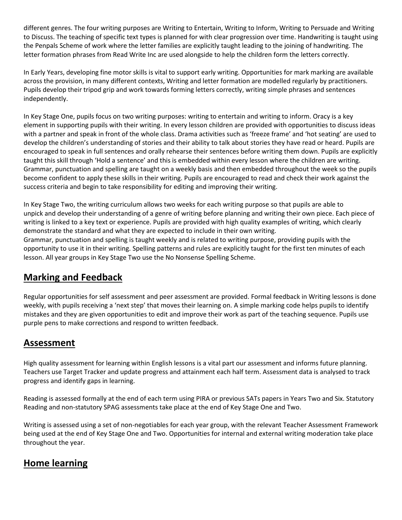different genres. The four writing purposes are Writing to Entertain, Writing to Inform, Writing to Persuade and Writing to Discuss. The teaching of specific text types is planned for with clear progression over time. Handwriting is taught using the Penpals Scheme of work where the letter families are explicitly taught leading to the joining of handwriting. The letter formation phrases from Read Write Inc are used alongside to help the children form the letters correctly.

In Early Years, developing fine motor skills is vital to support early writing. Opportunities for mark marking are available across the provision, in many different contexts, Writing and letter formation are modelled regularly by practitioners. Pupils develop their tripod grip and work towards forming letters correctly, writing simple phrases and sentences independently.

In Key Stage One, pupils focus on two writing purposes: writing to entertain and writing to inform. Oracy is a key element in supporting pupils with their writing. In every lesson children are provided with opportunities to discuss ideas with a partner and speak in front of the whole class. Drama activities such as 'freeze frame' and 'hot seating' are used to develop the children's understanding of stories and their ability to talk about stories they have read or heard. Pupils are encouraged to speak in full sentences and orally rehearse their sentences before writing them down. Pupils are explicitly taught this skill through 'Hold a sentence' and this is embedded within every lesson where the children are writing. Grammar, punctuation and spelling are taught on a weekly basis and then embedded throughout the week so the pupils become confident to apply these skills in their writing. Pupils are encouraged to read and check their work against the success criteria and begin to take responsibility for editing and improving their writing.

In Key Stage Two, the writing curriculum allows two weeks for each writing purpose so that pupils are able to unpick and develop their understanding of a genre of writing before planning and writing their own piece. Each piece of writing is linked to a key text or experience. Pupils are provided with high quality examples of writing, which clearly demonstrate the standard and what they are expected to include in their own writing.

Grammar, punctuation and spelling is taught weekly and is related to writing purpose, providing pupils with the opportunity to use it in their writing. Spelling patterns and rules are explicitly taught for the first ten minutes of each lesson. All year groups in Key Stage Two use the No Nonsense Spelling Scheme.

#### **Marking and Feedback**

Regular opportunities for self assessment and peer assessment are provided. Formal feedback in Writing lessons is done weekly, with pupils receiving a 'next step' that moves their learning on. A simple marking code helps pupils to identify mistakes and they are given opportunities to edit and improve their work as part of the teaching sequence. Pupils use purple pens to make corrections and respond to written feedback.

# **Assessment**

High quality assessment for learning within English lessons is a vital part our assessment and informs future planning. Teachers use Target Tracker and update progress and attainment each half term. Assessment data is analysed to track progress and identify gaps in learning.

Reading is assessed formally at the end of each term using PIRA or previous SATs papers in Years Two and Six. Statutory Reading and non-statutory SPAG assessments take place at the end of Key Stage One and Two.

Writing is assessed using a set of non-negotiables for each year group, with the relevant Teacher Assessment Framework being used at the end of Key Stage One and Two. Opportunities for internal and external writing moderation take place throughout the year.

# **Home learning**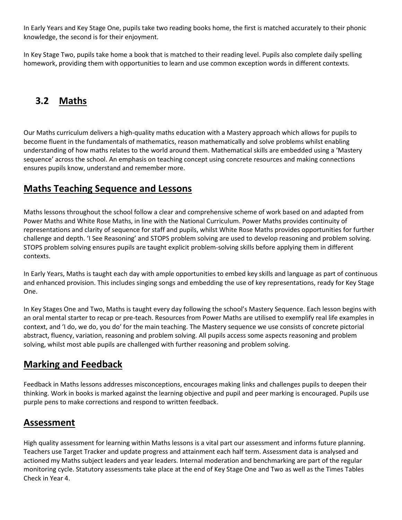In Early Years and Key Stage One, pupils take two reading books home, the first is matched accurately to their phonic knowledge, the second is for their enjoyment.

In Key Stage Two, pupils take home a book that is matched to their reading level. Pupils also complete daily spelling homework, providing them with opportunities to learn and use common exception words in different contexts.

## **3.2 Maths**

Our Maths curriculum delivers a high-quality maths education with a Mastery approach which allows for pupils to become fluent in the fundamentals of mathematics, reason mathematically and solve problems whilst enabling understanding of how maths relates to the world around them. Mathematical skills are embedded using a 'Mastery sequence' across the school. An emphasis on teaching concept using concrete resources and making connections ensures pupils know, understand and remember more.

#### **Maths Teaching Sequence and Lessons**

Maths lessons throughout the school follow a clear and comprehensive scheme of work based on and adapted from Power Maths and White Rose Maths, in line with the National Curriculum. Power Maths provides continuity of representations and clarity of sequence for staff and pupils, whilst White Rose Maths provides opportunities for further challenge and depth. 'I See Reasoning' and STOPS problem solving are used to develop reasoning and problem solving. STOPS problem solving ensures pupils are taught explicit problem-solving skills before applying them in different contexts.

In Early Years, Maths is taught each day with ample opportunities to embed key skills and language as part of continuous and enhanced provision. This includes singing songs and embedding the use of key representations, ready for Key Stage One.

In Key Stages One and Two, Maths is taught every day following the school's Mastery Sequence. Each lesson begins with an oral mental starter to recap or pre-teach. Resources from Power Maths are utilised to exemplify real life examples in context, and 'I do, we do, you do' for the main teaching. The Mastery sequence we use consists of concrete pictorial abstract, fluency, variation, reasoning and problem solving. All pupils access some aspects reasoning and problem solving, whilst most able pupils are challenged with further reasoning and problem solving.

#### **Marking and Feedback**

Feedback in Maths lessons addresses misconceptions, encourages making links and challenges pupils to deepen their thinking. Work in books is marked against the learning objective and pupil and peer marking is encouraged. Pupils use purple pens to make corrections and respond to written feedback.

#### **Assessment**

High quality assessment for learning within Maths lessons is a vital part our assessment and informs future planning. Teachers use Target Tracker and update progress and attainment each half term. Assessment data is analysed and actioned my Maths subject leaders and year leaders. Internal moderation and benchmarking are part of the regular monitoring cycle. Statutory assessments take place at the end of Key Stage One and Two as well as the Times Tables Check in Year 4.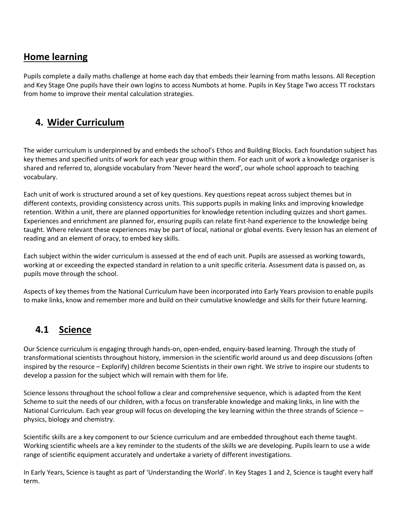## **Home learning**

Pupils complete a daily maths challenge at home each day that embeds their learning from maths lessons. All Reception and Key Stage One pupils have their own logins to access Numbots at home. Pupils in Key Stage Two access TT rockstars from home to improve their mental calculation strategies.

### **4. Wider Curriculum**

The wider curriculum is underpinned by and embeds the school's Ethos and Building Blocks. Each foundation subject has key themes and specified units of work for each year group within them. For each unit of work a knowledge organiser is shared and referred to, alongside vocabulary from 'Never heard the word', our whole school approach to teaching vocabulary.

Each unit of work is structured around a set of key questions. Key questions repeat across subject themes but in different contexts, providing consistency across units. This supports pupils in making links and improving knowledge retention. Within a unit, there are planned opportunities for knowledge retention including quizzes and short games. Experiences and enrichment are planned for, ensuring pupils can relate first-hand experience to the knowledge being taught. Where relevant these experiences may be part of local, national or global events. Every lesson has an element of reading and an element of oracy, to embed key skills.

Each subject within the wider curriculum is assessed at the end of each unit. Pupils are assessed as working towards, working at or exceeding the expected standard in relation to a unit specific criteria. Assessment data is passed on, as pupils move through the school.

Aspects of key themes from the National Curriculum have been incorporated into Early Years provision to enable pupils to make links, know and remember more and build on their cumulative knowledge and skills for their future learning.

#### **4.1 Science**

Our Science curriculum is engaging through hands-on, open-ended, enquiry-based learning. Through the study of transformational scientists throughout history, immersion in the scientific world around us and deep discussions (often inspired by the resource – Explorify) children become Scientists in their own right. We strive to inspire our students to develop a passion for the subject which will remain with them for life.

Science lessons throughout the school follow a clear and comprehensive sequence, which is adapted from the Kent Scheme to suit the needs of our children, with a focus on transferable knowledge and making links, in line with the National Curriculum. Each year group will focus on developing the key learning within the three strands of Science – physics, biology and chemistry.

Scientific skills are a key component to our Science curriculum and are embedded throughout each theme taught. Working scientific wheels are a key reminder to the students of the skills we are developing. Pupils learn to use a wide range of scientific equipment accurately and undertake a variety of different investigations.

In Early Years, Science is taught as part of 'Understanding the World'. In Key Stages 1 and 2, Science is taught every half term.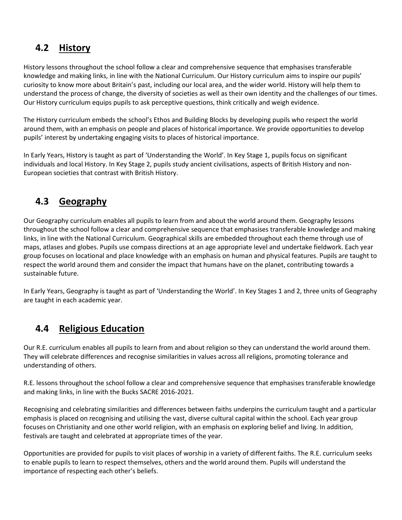## **4.2 History**

History lessons throughout the school follow a clear and comprehensive sequence that emphasises transferable knowledge and making links, in line with the National Curriculum. Our History curriculum aims to inspire our pupils' curiosity to know more about Britain's past, including our local area, and the wider world. History will help them to understand the process of change, the diversity of societies as well as their own identity and the challenges of our times. Our History curriculum equips pupils to ask perceptive questions, think critically and weigh evidence.

The History curriculum embeds the school's Ethos and Building Blocks by developing pupils who respect the world around them, with an emphasis on people and places of historical importance. We provide opportunities to develop pupils' interest by undertaking engaging visits to places of historical importance.

In Early Years, History is taught as part of 'Understanding the World'. In Key Stage 1, pupils focus on significant individuals and local History. In Key Stage 2, pupils study ancient civilisations, aspects of British History and non-European societies that contrast with British History.

#### **4.3 Geography**

Our Geography curriculum enables all pupils to learn from and about the world around them. Geography lessons throughout the school follow a clear and comprehensive sequence that emphasises transferable knowledge and making links, in line with the National Curriculum. Geographical skills are embedded throughout each theme through use of maps, atlases and globes. Pupils use compass directions at an age appropriate level and undertake fieldwork. Each year group focuses on locational and place knowledge with an emphasis on human and physical features. Pupils are taught to respect the world around them and consider the impact that humans have on the planet, contributing towards a sustainable future.

In Early Years, Geography is taught as part of 'Understanding the World'. In Key Stages 1 and 2, three units of Geography are taught in each academic year.

#### **4.4 Religious Education**

Our R.E. curriculum enables all pupils to learn from and about religion so they can understand the world around them. They will celebrate differences and recognise similarities in values across all religions, promoting tolerance and understanding of others.

R.E. lessons throughout the school follow a clear and comprehensive sequence that emphasises transferable knowledge and making links, in line with the Bucks SACRE 2016-2021.

Recognising and celebrating similarities and differences between faiths underpins the curriculum taught and a particular emphasis is placed on recognising and utilising the vast, diverse cultural capital within the school. Each year group focuses on Christianity and one other world religion, with an emphasis on exploring belief and living. In addition, festivals are taught and celebrated at appropriate times of the year.

Opportunities are provided for pupils to visit places of worship in a variety of different faiths. The R.E. curriculum seeks to enable pupils to learn to respect themselves, others and the world around them. Pupils will understand the importance of respecting each other's beliefs.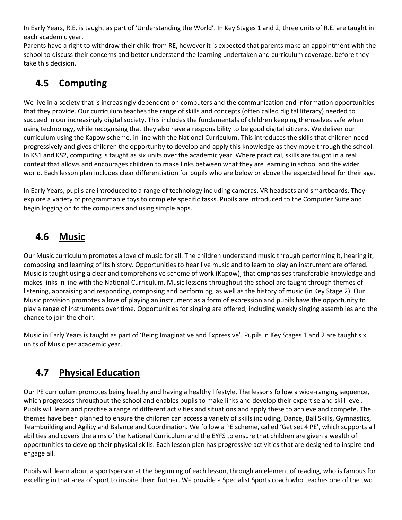In Early Years, R.E. is taught as part of 'Understanding the World'. In Key Stages 1 and 2, three units of R.E. are taught in each academic year.

Parents have a right to withdraw their child from RE, however it is expected that parents make an appointment with the school to discuss their concerns and better understand the learning undertaken and curriculum coverage, before they take this decision.

# **4.5 Computing**

We live in a society that is increasingly dependent on computers and the communication and information opportunities that they provide. Our curriculum teaches the range of skills and concepts (often called digital literacy) needed to succeed in our increasingly digital society. This includes the fundamentals of children keeping themselves safe when using technology, while recognising that they also have a responsibility to be good digital citizens. We deliver our curriculum using the Kapow scheme, in line with the National Curriculum. This introduces the skills that children need progressively and gives children the opportunity to develop and apply this knowledge as they move through the school. In KS1 and KS2, computing is taught as six units over the academic year. Where practical, skills are taught in a real context that allows and encourages children to make links between what they are learning in school and the wider world. Each lesson plan includes clear differentiation for pupils who are below or above the expected level for their age.

In Early Years, pupils are introduced to a range of technology including cameras, VR headsets and smartboards. They explore a variety of programmable toys to complete specific tasks. Pupils are introduced to the Computer Suite and begin logging on to the computers and using simple apps.

# **4.6 Music**

Our Music curriculum promotes a love of music for all. The children understand music through performing it, hearing it, composing and learning of its history. Opportunities to hear live music and to learn to play an instrument are offered. Music is taught using a clear and comprehensive scheme of work (Kapow), that emphasises transferable knowledge and makes links in line with the National Curriculum. Music lessons throughout the school are taught through themes of listening, appraising and responding, composing and performing, as well as the history of music (in Key Stage 2). Our Music provision promotes a love of playing an instrument as a form of expression and pupils have the opportunity to play a range of instruments over time. Opportunities for singing are offered, including weekly singing assemblies and the chance to join the choir.

Music in Early Years is taught as part of 'Being Imaginative and Expressive'. Pupils in Key Stages 1 and 2 are taught six units of Music per academic year.

# **4.7 Physical Education**

Our PE curriculum promotes being healthy and having a healthy lifestyle. The lessons follow a wide-ranging sequence, which progresses throughout the school and enables pupils to make links and develop their expertise and skill level. Pupils will learn and practise a range of different activities and situations and apply these to achieve and compete. The themes have been planned to ensure the children can access a variety of skills including, Dance, Ball Skills, Gymnastics, Teambuilding and Agility and Balance and Coordination. We follow a PE scheme, called 'Get set 4 PE', which supports all abilities and covers the aims of the National Curriculum and the EYFS to ensure that children are given a wealth of opportunities to develop their physical skills. Each lesson plan has progressive activities that are designed to inspire and engage all.

Pupils will learn about a sportsperson at the beginning of each lesson, through an element of reading, who is famous for excelling in that area of sport to inspire them further. We provide a Specialist Sports coach who teaches one of the two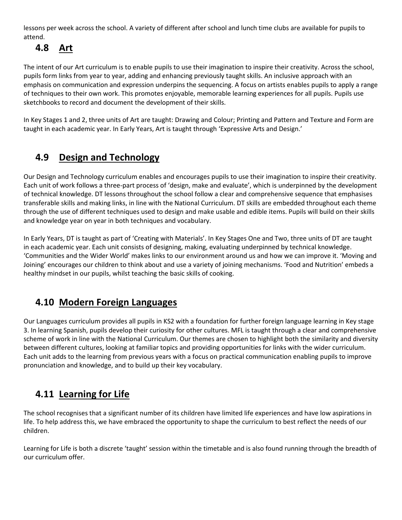lessons per week across the school. A variety of different after school and lunch time clubs are available for pupils to attend.

# **4.8 Art**

The intent of our Art curriculum is to enable pupils to use their imagination to inspire their creativity. Across the school, pupils form links from year to year, adding and enhancing previously taught skills. An inclusive approach with an emphasis on communication and expression underpins the sequencing. A focus on artists enables pupils to apply a range of techniques to their own work. This promotes enjoyable, memorable learning experiences for all pupils. Pupils use sketchbooks to record and document the development of their skills.

In Key Stages 1 and 2, three units of Art are taught: Drawing and Colour; Printing and Pattern and Texture and Form are taught in each academic year. In Early Years, Art is taught through 'Expressive Arts and Design.'

# **4.9 Design and Technology**

Our Design and Technology curriculum enables and encourages pupils to use their imagination to inspire their creativity. Each unit of work follows a three-part process of 'design, make and evaluate', which is underpinned by the development of technical knowledge. DT lessons throughout the school follow a clear and comprehensive sequence that emphasises transferable skills and making links, in line with the National Curriculum. DT skills are embedded throughout each theme through the use of different techniques used to design and make usable and edible items. Pupils will build on their skills and knowledge year on year in both techniques and vocabulary.

In Early Years, DT is taught as part of 'Creating with Materials'. In Key Stages One and Two, three units of DT are taught in each academic year. Each unit consists of designing, making, evaluating underpinned by technical knowledge. 'Communities and the Wider World' makes links to our environment around us and how we can improve it. 'Moving and Joining' encourages our children to think about and use a variety of joining mechanisms. 'Food and Nutrition' embeds a healthy mindset in our pupils, whilst teaching the basic skills of cooking.

# **4.10 Modern Foreign Languages**

Our Languages curriculum provides all pupils in KS2 with a foundation for further foreign language learning in Key stage 3. In learning Spanish, pupils develop their curiosity for other cultures. MFL is taught through a clear and comprehensive scheme of work in line with the National Curriculum. Our themes are chosen to highlight both the similarity and diversity between different cultures, looking at familiar topics and providing opportunities for links with the wider curriculum. Each unit adds to the learning from previous years with a focus on practical communication enabling pupils to improve pronunciation and knowledge, and to build up their key vocabulary.

# **4.11 Learning for Life**

The school recognises that a significant number of its children have limited life experiences and have low aspirations in life. To help address this, we have embraced the opportunity to shape the curriculum to best reflect the needs of our children.

Learning for Life is both a discrete 'taught' session within the timetable and is also found running through the breadth of our curriculum offer.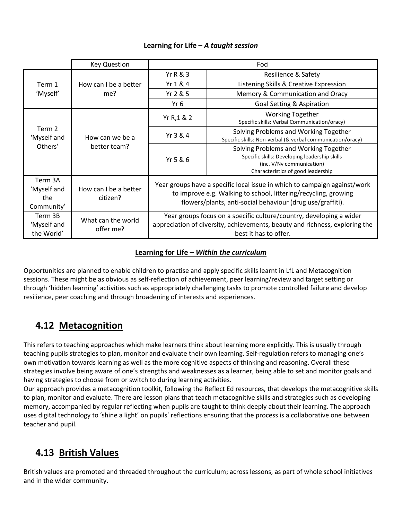|                                             | <b>Key Question</b>               | Foci                                                                                                                                                                                                       |                                                                                                                                                           |
|---------------------------------------------|-----------------------------------|------------------------------------------------------------------------------------------------------------------------------------------------------------------------------------------------------------|-----------------------------------------------------------------------------------------------------------------------------------------------------------|
| Term 1<br>'Myself'                          | How can I be a better             | Yr R & 3                                                                                                                                                                                                   | Resilience & Safety                                                                                                                                       |
|                                             |                                   | Yr 1 & 4                                                                                                                                                                                                   | Listening Skills & Creative Expression                                                                                                                    |
|                                             | me?                               | Yr 2 & 5                                                                                                                                                                                                   | Memory & Communication and Oracy                                                                                                                          |
|                                             |                                   | Yr <sub>6</sub>                                                                                                                                                                                            | <b>Goal Setting &amp; Aspiration</b>                                                                                                                      |
| Term 2<br>'Myself and                       | How can we be a                   | Yr R, 1 & 2                                                                                                                                                                                                | <b>Working Together</b><br>Specific skills: Verbal Communication/oracy)                                                                                   |
|                                             |                                   | Yr 3 & 4                                                                                                                                                                                                   | Solving Problems and Working Together<br>Specific skills: Non-verbal (& verbal communication/oracy)                                                       |
| Others'<br>better team?                     |                                   | Yr 5 & 6                                                                                                                                                                                                   | Solving Problems and Working Together<br>Specific skills: Developing leadership skills<br>(inc. V/Nv communication)<br>Characteristics of good leadership |
| Term 3A<br>'Myself and<br>the<br>Community' | How can I be a better<br>citizen? | Year groups have a specific local issue in which to campaign against/work<br>to improve e.g. Walking to school, littering/recycling, growing<br>flowers/plants, anti-social behaviour (drug use/graffiti). |                                                                                                                                                           |
| Term 3B<br>'Myself and<br>the World'        | What can the world<br>offer me?   | Year groups focus on a specific culture/country, developing a wider<br>appreciation of diversity, achievements, beauty and richness, exploring the<br>best it has to offer.                                |                                                                                                                                                           |

#### **Learning for Life –** *A taught session*

#### **Learning for Life –** *Within the curriculum*

Opportunities are planned to enable children to practise and apply specific skills learnt in LfL and Metacognition sessions. These might be as obvious as self-reflection of achievement, peer learning/review and target setting or through 'hidden learning' activities such as appropriately challenging tasks to promote controlled failure and develop resilience, peer coaching and through broadening of interests and experiences.

# **4.12 Metacognition**

This refers to teaching approaches which make learners think about learning more explicitly. This is usually through teaching pupils strategies to plan, monitor and evaluate their own learning. Self-regulation refers to managing one's own motivation towards learning as well as the more cognitive aspects of thinking and reasoning. Overall these strategies involve being aware of one's strengths and weaknesses as a learner, being able to set and monitor goals and having strategies to choose from or switch to during learning activities.

Our approach provides a metacognition toolkit, following the Reflect Ed resources, that develops the metacognitive skills to plan, monitor and evaluate. There are lesson plans that teach metacognitive skills and strategies such as developing memory, accompanied by regular reflecting when pupils are taught to think deeply about their learning. The approach uses digital technology to 'shine a light' on pupils' reflections ensuring that the process is a collaborative one between teacher and pupil.

# **4.13 British Values**

British values are promoted and threaded throughout the curriculum; across lessons, as part of whole school initiatives and in the wider community.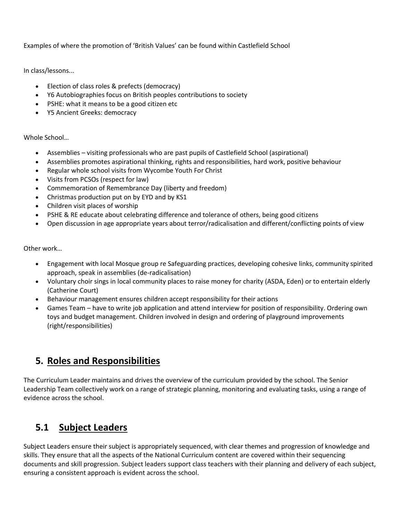Examples of where the promotion of 'British Values' can be found within Castlefield School

In class/lessons...

- Election of class roles & prefects (democracy)
- Y6 Autobiographies focus on British peoples contributions to society
- PSHE: what it means to be a good citizen etc
- Y5 Ancient Greeks: democracy

Whole School…

- Assemblies visiting professionals who are past pupils of Castlefield School (aspirational)
- Assemblies promotes aspirational thinking, rights and responsibilities, hard work, positive behaviour
- Regular whole school visits from Wycombe Youth For Christ
- Visits from PCSOs (respect for law)
- Commemoration of Remembrance Day (liberty and freedom)
- Christmas production put on by EYD and by KS1
- Children visit places of worship
- PSHE & RE educate about celebrating difference and tolerance of others, being good citizens
- Open discussion in age appropriate years about terror/radicalisation and different/conflicting points of view

Other work…

- Engagement with local Mosque group re Safeguarding practices, developing cohesive links, community spirited approach, speak in assemblies (de-radicalisation)
- Voluntary choir sings in local community places to raise money for charity (ASDA, Eden) or to entertain elderly (Catherine Court)
- Behaviour management ensures children accept responsibility for their actions
- Games Team have to write job application and attend interview for position of responsibility. Ordering own toys and budget management. Children involved in design and ordering of playground improvements (right/responsibilities)

#### **5. Roles and Responsibilities**

The Curriculum Leader maintains and drives the overview of the curriculum provided by the school. The Senior Leadership Team collectively work on a range of strategic planning, monitoring and evaluating tasks, using a range of evidence across the school.

# **5.1 Subject Leaders**

Subject Leaders ensure their subject is appropriately sequenced, with clear themes and progression of knowledge and skills. They ensure that all the aspects of the National Curriculum content are covered within their sequencing documents and skill progression. Subject leaders support class teachers with their planning and delivery of each subject, ensuring a consistent approach is evident across the school.